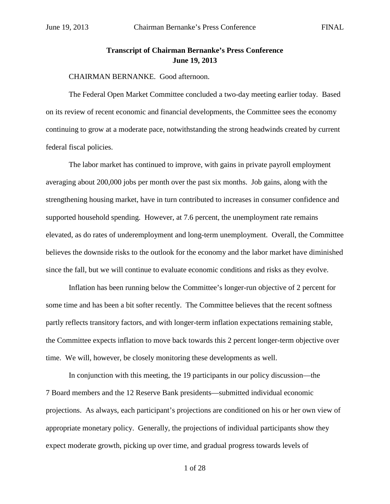## **Transcript of Chairman Bernanke's Press Conference June 19, 2013**

## CHAIRMAN BERNANKE. Good afternoon.

The Federal Open Market Committee concluded a two-day meeting earlier today. Based on its review of recent economic and financial developments, the Committee sees the economy continuing to grow at a moderate pace, notwithstanding the strong headwinds created by current federal fiscal policies.

The labor market has continued to improve, with gains in private payroll employment averaging about 200,000 jobs per month over the past six months. Job gains, along with the strengthening housing market, have in turn contributed to increases in consumer confidence and supported household spending. However, at 7.6 percent, the unemployment rate remains elevated, as do rates of underemployment and long-term unemployment. Overall, the Committee believes the downside risks to the outlook for the economy and the labor market have diminished since the fall, but we will continue to evaluate economic conditions and risks as they evolve.

Inflation has been running below the Committee's longer-run objective of 2 percent for some time and has been a bit softer recently. The Committee believes that the recent softness partly reflects transitory factors, and with longer-term inflation expectations remaining stable, the Committee expects inflation to move back towards this 2 percent longer-term objective over time. We will, however, be closely monitoring these developments as well.

In conjunction with this meeting, the 19 participants in our policy discussion—the 7 Board members and the 12 Reserve Bank presidents—submitted individual economic projections. As always, each participant's projections are conditioned on his or her own view of appropriate monetary policy. Generally, the projections of individual participants show they expect moderate growth, picking up over time, and gradual progress towards levels of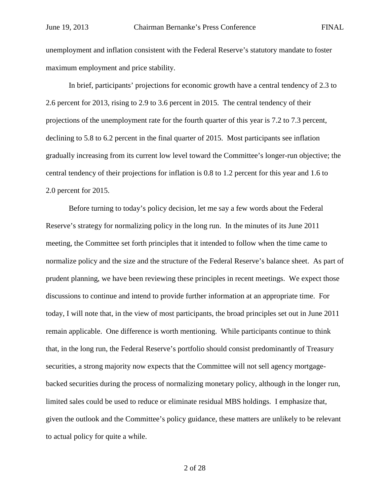unemployment and inflation consistent with the Federal Reserve's statutory mandate to foster maximum employment and price stability.

In brief, participants' projections for economic growth have a central tendency of 2.3 to 2.6 percent for 2013, rising to 2.9 to 3.6 percent in 2015. The central tendency of their projections of the unemployment rate for the fourth quarter of this year is 7.2 to 7.3 percent, declining to 5.8 to 6.2 percent in the final quarter of 2015. Most participants see inflation gradually increasing from its current low level toward the Committee's longer-run objective; the central tendency of their projections for inflation is 0.8 to 1.2 percent for this year and 1.6 to 2.0 percent for 2015.

Before turning to today's policy decision, let me say a few words about the Federal Reserve's strategy for normalizing policy in the long run. In the minutes of its June 2011 meeting, the Committee set forth principles that it intended to follow when the time came to normalize policy and the size and the structure of the Federal Reserve's balance sheet. As part of prudent planning, we have been reviewing these principles in recent meetings. We expect those discussions to continue and intend to provide further information at an appropriate time. For today, I will note that, in the view of most participants, the broad principles set out in June 2011 remain applicable. One difference is worth mentioning. While participants continue to think that, in the long run, the Federal Reserve's portfolio should consist predominantly of Treasury securities, a strong majority now expects that the Committee will not sell agency mortgagebacked securities during the process of normalizing monetary policy, although in the longer run, limited sales could be used to reduce or eliminate residual MBS holdings. I emphasize that, given the outlook and the Committee's policy guidance, these matters are unlikely to be relevant to actual policy for quite a while.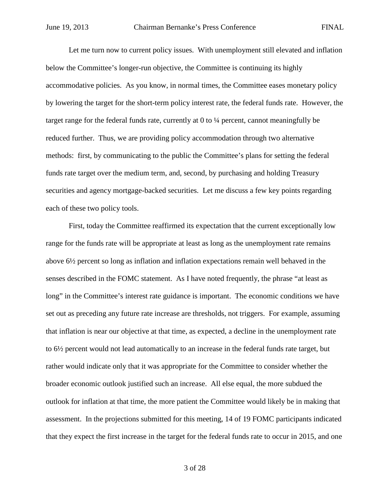Let me turn now to current policy issues. With unemployment still elevated and inflation below the Committee's longer-run objective, the Committee is continuing its highly accommodative policies. As you know, in normal times, the Committee eases monetary policy by lowering the target for the short-term policy interest rate, the federal funds rate. However, the target range for the federal funds rate, currently at 0 to ¼ percent, cannot meaningfully be reduced further. Thus, we are providing policy accommodation through two alternative methods: first, by communicating to the public the Committee's plans for setting the federal funds rate target over the medium term, and, second, by purchasing and holding Treasury securities and agency mortgage-backed securities. Let me discuss a few key points regarding each of these two policy tools.

First, today the Committee reaffirmed its expectation that the current exceptionally low range for the funds rate will be appropriate at least as long as the unemployment rate remains above 6½ percent so long as inflation and inflation expectations remain well behaved in the senses described in the FOMC statement. As I have noted frequently, the phrase "at least as long" in the Committee's interest rate guidance is important. The economic conditions we have set out as preceding any future rate increase are thresholds, not triggers. For example, assuming that inflation is near our objective at that time, as expected, a decline in the unemployment rate to 6½ percent would not lead automatically to an increase in the federal funds rate target, but rather would indicate only that it was appropriate for the Committee to consider whether the broader economic outlook justified such an increase. All else equal, the more subdued the outlook for inflation at that time, the more patient the Committee would likely be in making that assessment. In the projections submitted for this meeting, 14 of 19 FOMC participants indicated that they expect the first increase in the target for the federal funds rate to occur in 2015, and one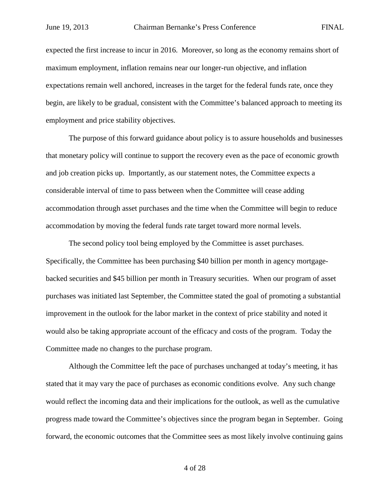expected the first increase to incur in 2016. Moreover, so long as the economy remains short of maximum employment, inflation remains near our longer-run objective, and inflation expectations remain well anchored, increases in the target for the federal funds rate, once they begin, are likely to be gradual, consistent with the Committee's balanced approach to meeting its employment and price stability objectives.

The purpose of this forward guidance about policy is to assure households and businesses that monetary policy will continue to support the recovery even as the pace of economic growth and job creation picks up. Importantly, as our statement notes, the Committee expects a considerable interval of time to pass between when the Committee will cease adding accommodation through asset purchases and the time when the Committee will begin to reduce accommodation by moving the federal funds rate target toward more normal levels.

The second policy tool being employed by the Committee is asset purchases. Specifically, the Committee has been purchasing \$40 billion per month in agency mortgagebacked securities and \$45 billion per month in Treasury securities. When our program of asset purchases was initiated last September, the Committee stated the goal of promoting a substantial improvement in the outlook for the labor market in the context of price stability and noted it would also be taking appropriate account of the efficacy and costs of the program. Today the Committee made no changes to the purchase program.

Although the Committee left the pace of purchases unchanged at today's meeting, it has stated that it may vary the pace of purchases as economic conditions evolve. Any such change would reflect the incoming data and their implications for the outlook, as well as the cumulative progress made toward the Committee's objectives since the program began in September. Going forward, the economic outcomes that the Committee sees as most likely involve continuing gains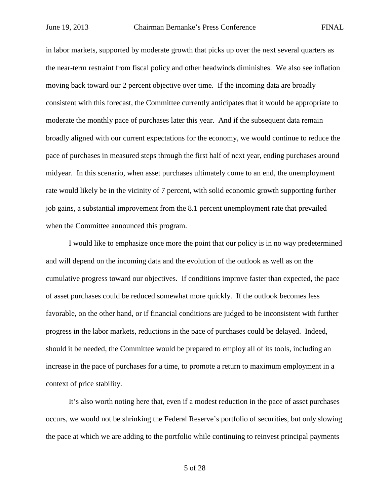in labor markets, supported by moderate growth that picks up over the next several quarters as the near-term restraint from fiscal policy and other headwinds diminishes. We also see inflation moving back toward our 2 percent objective over time. If the incoming data are broadly consistent with this forecast, the Committee currently anticipates that it would be appropriate to moderate the monthly pace of purchases later this year. And if the subsequent data remain broadly aligned with our current expectations for the economy, we would continue to reduce the pace of purchases in measured steps through the first half of next year, ending purchases around midyear. In this scenario, when asset purchases ultimately come to an end, the unemployment rate would likely be in the vicinity of 7 percent, with solid economic growth supporting further job gains, a substantial improvement from the 8.1 percent unemployment rate that prevailed when the Committee announced this program.

I would like to emphasize once more the point that our policy is in no way predetermined and will depend on the incoming data and the evolution of the outlook as well as on the cumulative progress toward our objectives. If conditions improve faster than expected, the pace of asset purchases could be reduced somewhat more quickly. If the outlook becomes less favorable, on the other hand, or if financial conditions are judged to be inconsistent with further progress in the labor markets, reductions in the pace of purchases could be delayed. Indeed, should it be needed, the Committee would be prepared to employ all of its tools, including an increase in the pace of purchases for a time, to promote a return to maximum employment in a context of price stability.

It's also worth noting here that, even if a modest reduction in the pace of asset purchases occurs, we would not be shrinking the Federal Reserve's portfolio of securities, but only slowing the pace at which we are adding to the portfolio while continuing to reinvest principal payments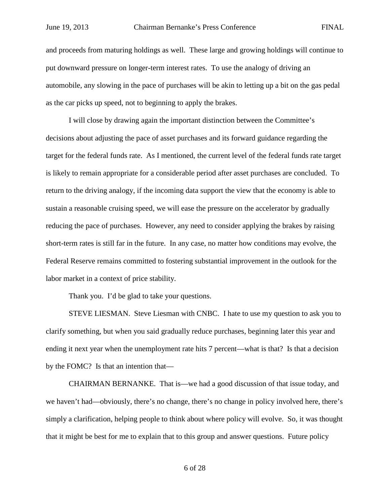and proceeds from maturing holdings as well. These large and growing holdings will continue to put downward pressure on longer-term interest rates. To use the analogy of driving an automobile, any slowing in the pace of purchases will be akin to letting up a bit on the gas pedal as the car picks up speed, not to beginning to apply the brakes.

I will close by drawing again the important distinction between the Committee's decisions about adjusting the pace of asset purchases and its forward guidance regarding the target for the federal funds rate. As I mentioned, the current level of the federal funds rate target is likely to remain appropriate for a considerable period after asset purchases are concluded. To return to the driving analogy, if the incoming data support the view that the economy is able to sustain a reasonable cruising speed, we will ease the pressure on the accelerator by gradually reducing the pace of purchases. However, any need to consider applying the brakes by raising short-term rates is still far in the future. In any case, no matter how conditions may evolve, the Federal Reserve remains committed to fostering substantial improvement in the outlook for the labor market in a context of price stability.

Thank you. I'd be glad to take your questions.

STEVE LIESMAN. Steve Liesman with CNBC. I hate to use my question to ask you to clarify something, but when you said gradually reduce purchases, beginning later this year and ending it next year when the unemployment rate hits 7 percent—what is that? Is that a decision by the FOMC? Is that an intention that—

CHAIRMAN BERNANKE. That is—we had a good discussion of that issue today, and we haven't had—obviously, there's no change, there's no change in policy involved here, there's simply a clarification, helping people to think about where policy will evolve. So, it was thought that it might be best for me to explain that to this group and answer questions. Future policy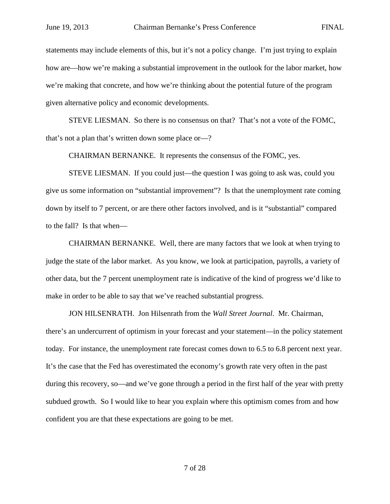statements may include elements of this, but it's not a policy change. I'm just trying to explain how are—how we're making a substantial improvement in the outlook for the labor market, how we're making that concrete, and how we're thinking about the potential future of the program given alternative policy and economic developments.

STEVE LIESMAN. So there is no consensus on that? That's not a vote of the FOMC, that's not a plan that's written down some place or—?

CHAIRMAN BERNANKE. It represents the consensus of the FOMC, yes.

STEVE LIESMAN. If you could just—the question I was going to ask was, could you give us some information on "substantial improvement"? Is that the unemployment rate coming down by itself to 7 percent, or are there other factors involved, and is it "substantial" compared to the fall? Is that when—

CHAIRMAN BERNANKE. Well, there are many factors that we look at when trying to judge the state of the labor market. As you know, we look at participation, payrolls, a variety of other data, but the 7 percent unemployment rate is indicative of the kind of progress we'd like to make in order to be able to say that we've reached substantial progress.

JON HILSENRATH. Jon Hilsenrath from the *Wall Street Journal*. Mr. Chairman, there's an undercurrent of optimism in your forecast and your statement—in the policy statement today. For instance, the unemployment rate forecast comes down to 6.5 to 6.8 percent next year. It's the case that the Fed has overestimated the economy's growth rate very often in the past during this recovery, so—and we've gone through a period in the first half of the year with pretty subdued growth. So I would like to hear you explain where this optimism comes from and how confident you are that these expectations are going to be met.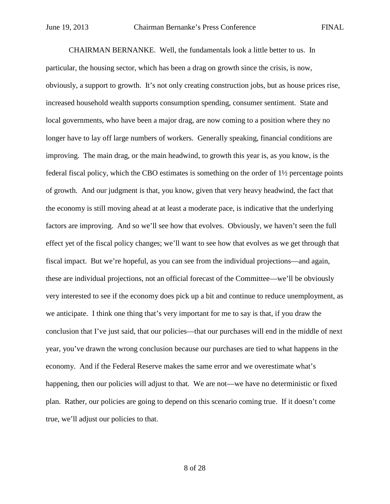CHAIRMAN BERNANKE. Well, the fundamentals look a little better to us. In particular, the housing sector, which has been a drag on growth since the crisis, is now, obviously, a support to growth. It's not only creating construction jobs, but as house prices rise, increased household wealth supports consumption spending, consumer sentiment. State and local governments, who have been a major drag, are now coming to a position where they no longer have to lay off large numbers of workers. Generally speaking, financial conditions are improving. The main drag, or the main headwind, to growth this year is, as you know, is the federal fiscal policy, which the CBO estimates is something on the order of 1½ percentage points of growth. And our judgment is that, you know, given that very heavy headwind, the fact that the economy is still moving ahead at at least a moderate pace, is indicative that the underlying factors are improving. And so we'll see how that evolves. Obviously, we haven't seen the full effect yet of the fiscal policy changes; we'll want to see how that evolves as we get through that fiscal impact. But we're hopeful, as you can see from the individual projections—and again, these are individual projections, not an official forecast of the Committee—we'll be obviously very interested to see if the economy does pick up a bit and continue to reduce unemployment, as we anticipate. I think one thing that's very important for me to say is that, if you draw the conclusion that I've just said, that our policies—that our purchases will end in the middle of next year, you've drawn the wrong conclusion because our purchases are tied to what happens in the economy. And if the Federal Reserve makes the same error and we overestimate what's happening, then our policies will adjust to that. We are not—we have no deterministic or fixed plan. Rather, our policies are going to depend on this scenario coming true. If it doesn't come true, we'll adjust our policies to that.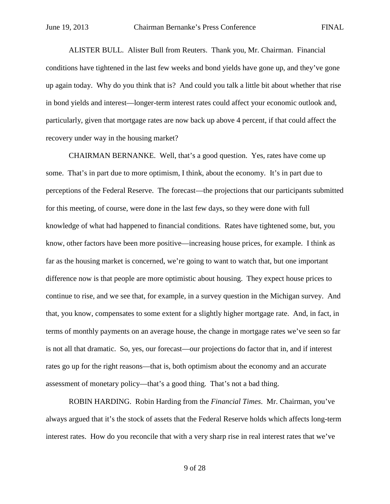ALISTER BULL. Alister Bull from Reuters. Thank you, Mr. Chairman. Financial conditions have tightened in the last few weeks and bond yields have gone up, and they've gone up again today. Why do you think that is? And could you talk a little bit about whether that rise in bond yields and interest—longer-term interest rates could affect your economic outlook and, particularly, given that mortgage rates are now back up above 4 percent, if that could affect the recovery under way in the housing market?

CHAIRMAN BERNANKE. Well, that's a good question. Yes, rates have come up some. That's in part due to more optimism, I think, about the economy. It's in part due to perceptions of the Federal Reserve. The forecast—the projections that our participants submitted for this meeting, of course, were done in the last few days, so they were done with full knowledge of what had happened to financial conditions. Rates have tightened some, but, you know, other factors have been more positive—increasing house prices, for example. I think as far as the housing market is concerned, we're going to want to watch that, but one important difference now is that people are more optimistic about housing. They expect house prices to continue to rise, and we see that, for example, in a survey question in the Michigan survey. And that, you know, compensates to some extent for a slightly higher mortgage rate. And, in fact, in terms of monthly payments on an average house, the change in mortgage rates we've seen so far is not all that dramatic. So, yes, our forecast—our projections do factor that in, and if interest rates go up for the right reasons—that is, both optimism about the economy and an accurate assessment of monetary policy—that's a good thing. That's not a bad thing.

ROBIN HARDING. Robin Harding from the *Financial Times*. Mr. Chairman, you've always argued that it's the stock of assets that the Federal Reserve holds which affects long-term interest rates. How do you reconcile that with a very sharp rise in real interest rates that we've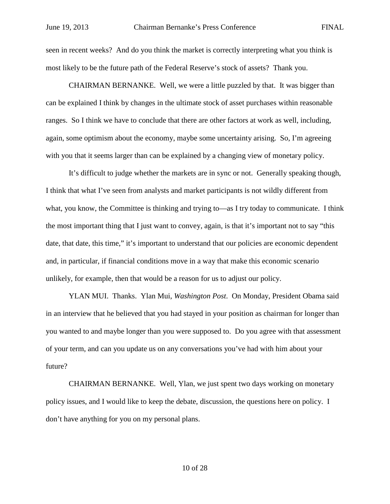seen in recent weeks? And do you think the market is correctly interpreting what you think is most likely to be the future path of the Federal Reserve's stock of assets? Thank you.

CHAIRMAN BERNANKE. Well, we were a little puzzled by that. It was bigger than can be explained I think by changes in the ultimate stock of asset purchases within reasonable ranges. So I think we have to conclude that there are other factors at work as well, including, again, some optimism about the economy, maybe some uncertainty arising. So, I'm agreeing with you that it seems larger than can be explained by a changing view of monetary policy.

It's difficult to judge whether the markets are in sync or not. Generally speaking though, I think that what I've seen from analysts and market participants is not wildly different from what, you know, the Committee is thinking and trying to—as I try today to communicate. I think the most important thing that I just want to convey, again, is that it's important not to say "this date, that date, this time," it's important to understand that our policies are economic dependent and, in particular, if financial conditions move in a way that make this economic scenario unlikely, for example, then that would be a reason for us to adjust our policy.

YLAN MUI. Thanks. Ylan Mui, *Washington Post*. On Monday, President Obama said in an interview that he believed that you had stayed in your position as chairman for longer than you wanted to and maybe longer than you were supposed to. Do you agree with that assessment of your term, and can you update us on any conversations you've had with him about your future?

CHAIRMAN BERNANKE. Well, Ylan, we just spent two days working on monetary policy issues, and I would like to keep the debate, discussion, the questions here on policy. I don't have anything for you on my personal plans.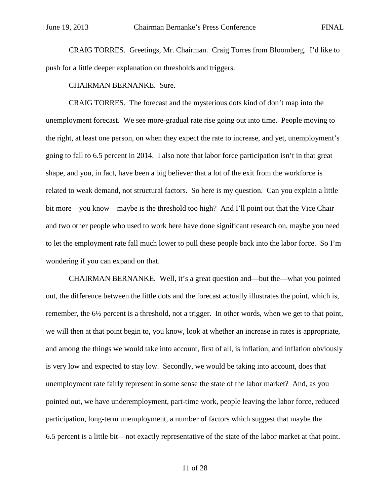CRAIG TORRES. Greetings, Mr. Chairman. Craig Torres from Bloomberg. I'd like to push for a little deeper explanation on thresholds and triggers.

CHAIRMAN BERNANKE. Sure.

CRAIG TORRES. The forecast and the mysterious dots kind of don't map into the unemployment forecast. We see more-gradual rate rise going out into time. People moving to the right, at least one person, on when they expect the rate to increase, and yet, unemployment's going to fall to 6.5 percent in 2014. I also note that labor force participation isn't in that great shape, and you, in fact, have been a big believer that a lot of the exit from the workforce is related to weak demand, not structural factors. So here is my question. Can you explain a little bit more—you know—maybe is the threshold too high? And I'll point out that the Vice Chair and two other people who used to work here have done significant research on, maybe you need to let the employment rate fall much lower to pull these people back into the labor force. So I'm wondering if you can expand on that.

CHAIRMAN BERNANKE. Well, it's a great question and—but the—what you pointed out, the difference between the little dots and the forecast actually illustrates the point, which is, remember, the 6½ percent is a threshold, not a trigger. In other words, when we get to that point, we will then at that point begin to, you know, look at whether an increase in rates is appropriate, and among the things we would take into account, first of all, is inflation, and inflation obviously is very low and expected to stay low. Secondly, we would be taking into account, does that unemployment rate fairly represent in some sense the state of the labor market? And, as you pointed out, we have underemployment, part-time work, people leaving the labor force, reduced participation, long-term unemployment, a number of factors which suggest that maybe the 6.5 percent is a little bit—not exactly representative of the state of the labor market at that point.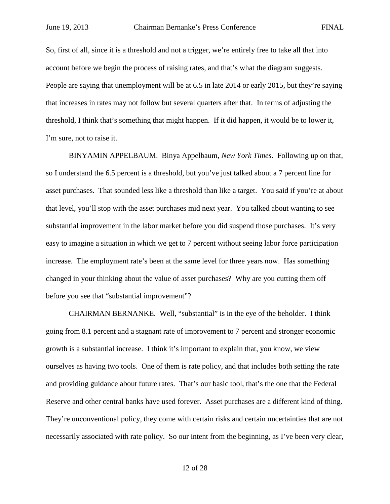So, first of all, since it is a threshold and not a trigger, we're entirely free to take all that into account before we begin the process of raising rates, and that's what the diagram suggests. People are saying that unemployment will be at 6.5 in late 2014 or early 2015, but they're saying that increases in rates may not follow but several quarters after that. In terms of adjusting the threshold, I think that's something that might happen. If it did happen, it would be to lower it, I'm sure, not to raise it.

BINYAMIN APPELBAUM. Binya Appelbaum, *New York Times*. Following up on that, so I understand the 6.5 percent is a threshold, but you've just talked about a 7 percent line for asset purchases. That sounded less like a threshold than like a target. You said if you're at about that level, you'll stop with the asset purchases mid next year. You talked about wanting to see substantial improvement in the labor market before you did suspend those purchases. It's very easy to imagine a situation in which we get to 7 percent without seeing labor force participation increase. The employment rate's been at the same level for three years now. Has something changed in your thinking about the value of asset purchases? Why are you cutting them off before you see that "substantial improvement"?

CHAIRMAN BERNANKE. Well, "substantial" is in the eye of the beholder. I think going from 8.1 percent and a stagnant rate of improvement to 7 percent and stronger economic growth is a substantial increase. I think it's important to explain that, you know, we view ourselves as having two tools. One of them is rate policy, and that includes both setting the rate and providing guidance about future rates. That's our basic tool, that's the one that the Federal Reserve and other central banks have used forever. Asset purchases are a different kind of thing. They're unconventional policy, they come with certain risks and certain uncertainties that are not necessarily associated with rate policy. So our intent from the beginning, as I've been very clear,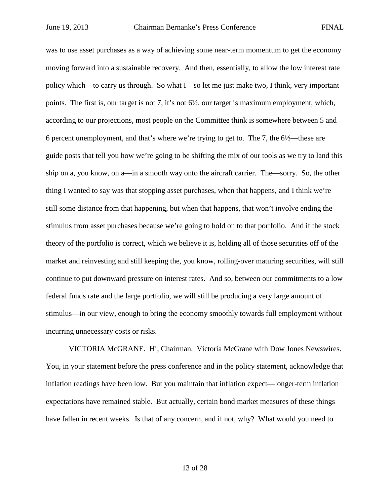was to use asset purchases as a way of achieving some near-term momentum to get the economy moving forward into a sustainable recovery. And then, essentially, to allow the low interest rate policy which—to carry us through. So what I—so let me just make two, I think, very important points. The first is, our target is not 7, it's not 6½, our target is maximum employment, which, according to our projections, most people on the Committee think is somewhere between 5 and 6 percent unemployment, and that's where we're trying to get to. The 7, the 6½—these are guide posts that tell you how we're going to be shifting the mix of our tools as we try to land this ship on a, you know, on a—in a smooth way onto the aircraft carrier. The—sorry. So, the other thing I wanted to say was that stopping asset purchases, when that happens, and I think we're still some distance from that happening, but when that happens, that won't involve ending the stimulus from asset purchases because we're going to hold on to that portfolio. And if the stock theory of the portfolio is correct, which we believe it is, holding all of those securities off of the market and reinvesting and still keeping the, you know, rolling-over maturing securities, will still continue to put downward pressure on interest rates. And so, between our commitments to a low federal funds rate and the large portfolio, we will still be producing a very large amount of stimulus—in our view, enough to bring the economy smoothly towards full employment without incurring unnecessary costs or risks.

VICTORIA McGRANE. Hi, Chairman. Victoria McGrane with Dow Jones Newswires. You, in your statement before the press conference and in the policy statement, acknowledge that inflation readings have been low. But you maintain that inflation expect—longer-term inflation expectations have remained stable. But actually, certain bond market measures of these things have fallen in recent weeks. Is that of any concern, and if not, why? What would you need to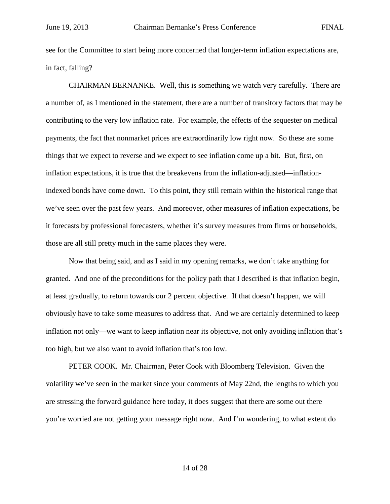see for the Committee to start being more concerned that longer-term inflation expectations are, in fact, falling?

CHAIRMAN BERNANKE. Well, this is something we watch very carefully. There are a number of, as I mentioned in the statement, there are a number of transitory factors that may be contributing to the very low inflation rate. For example, the effects of the sequester on medical payments, the fact that nonmarket prices are extraordinarily low right now. So these are some things that we expect to reverse and we expect to see inflation come up a bit. But, first, on inflation expectations, it is true that the breakevens from the inflation-adjusted—inflationindexed bonds have come down. To this point, they still remain within the historical range that we've seen over the past few years. And moreover, other measures of inflation expectations, be it forecasts by professional forecasters, whether it's survey measures from firms or households, those are all still pretty much in the same places they were.

Now that being said, and as I said in my opening remarks, we don't take anything for granted. And one of the preconditions for the policy path that I described is that inflation begin, at least gradually, to return towards our 2 percent objective. If that doesn't happen, we will obviously have to take some measures to address that. And we are certainly determined to keep inflation not only—we want to keep inflation near its objective, not only avoiding inflation that's too high, but we also want to avoid inflation that's too low.

PETER COOK. Mr. Chairman, Peter Cook with Bloomberg Television. Given the volatility we've seen in the market since your comments of May 22nd, the lengths to which you are stressing the forward guidance here today, it does suggest that there are some out there you're worried are not getting your message right now. And I'm wondering, to what extent do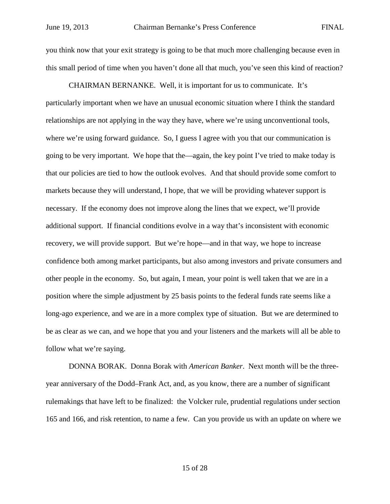you think now that your exit strategy is going to be that much more challenging because even in this small period of time when you haven't done all that much, you've seen this kind of reaction?

CHAIRMAN BERNANKE. Well, it is important for us to communicate. It's particularly important when we have an unusual economic situation where I think the standard relationships are not applying in the way they have, where we're using unconventional tools, where we're using forward guidance. So, I guess I agree with you that our communication is going to be very important. We hope that the—again, the key point I've tried to make today is that our policies are tied to how the outlook evolves. And that should provide some comfort to markets because they will understand, I hope, that we will be providing whatever support is necessary. If the economy does not improve along the lines that we expect, we'll provide additional support. If financial conditions evolve in a way that's inconsistent with economic recovery, we will provide support. But we're hope—and in that way, we hope to increase confidence both among market participants, but also among investors and private consumers and other people in the economy. So, but again, I mean, your point is well taken that we are in a position where the simple adjustment by 25 basis points to the federal funds rate seems like a long-ago experience, and we are in a more complex type of situation. But we are determined to be as clear as we can, and we hope that you and your listeners and the markets will all be able to follow what we're saying.

DONNA BORAK. Donna Borak with *American Banker*. Next month will be the threeyear anniversary of the Dodd–Frank Act, and, as you know, there are a number of significant rulemakings that have left to be finalized: the Volcker rule, prudential regulations under section 165 and 166, and risk retention, to name a few. Can you provide us with an update on where we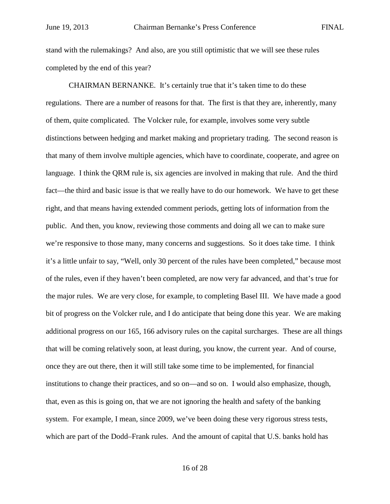stand with the rulemakings? And also, are you still optimistic that we will see these rules completed by the end of this year?

CHAIRMAN BERNANKE. It's certainly true that it's taken time to do these regulations. There are a number of reasons for that. The first is that they are, inherently, many of them, quite complicated. The Volcker rule, for example, involves some very subtle distinctions between hedging and market making and proprietary trading. The second reason is that many of them involve multiple agencies, which have to coordinate, cooperate, and agree on language. I think the QRM rule is, six agencies are involved in making that rule. And the third fact—the third and basic issue is that we really have to do our homework. We have to get these right, and that means having extended comment periods, getting lots of information from the public. And then, you know, reviewing those comments and doing all we can to make sure we're responsive to those many, many concerns and suggestions. So it does take time. I think it's a little unfair to say, "Well, only 30 percent of the rules have been completed," because most of the rules, even if they haven't been completed, are now very far advanced, and that's true for the major rules. We are very close, for example, to completing Basel III. We have made a good bit of progress on the Volcker rule, and I do anticipate that being done this year. We are making additional progress on our 165, 166 advisory rules on the capital surcharges. These are all things that will be coming relatively soon, at least during, you know, the current year. And of course, once they are out there, then it will still take some time to be implemented, for financial institutions to change their practices, and so on—and so on. I would also emphasize, though, that, even as this is going on, that we are not ignoring the health and safety of the banking system. For example, I mean, since 2009, we've been doing these very rigorous stress tests, which are part of the Dodd–Frank rules. And the amount of capital that U.S. banks hold has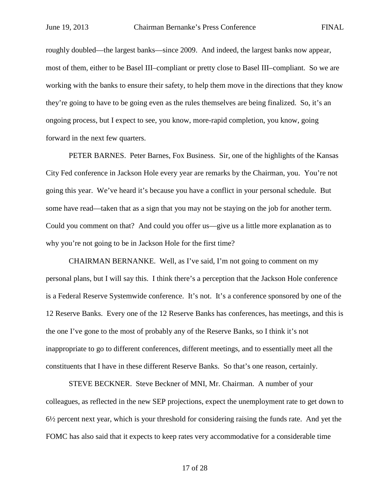roughly doubled—the largest banks—since 2009. And indeed, the largest banks now appear, most of them, either to be Basel III–compliant or pretty close to Basel III–compliant. So we are working with the banks to ensure their safety, to help them move in the directions that they know they're going to have to be going even as the rules themselves are being finalized. So, it's an ongoing process, but I expect to see, you know, more-rapid completion, you know, going forward in the next few quarters.

PETER BARNES. Peter Barnes, Fox Business. Sir, one of the highlights of the Kansas City Fed conference in Jackson Hole every year are remarks by the Chairman, you. You're not going this year. We've heard it's because you have a conflict in your personal schedule. But some have read—taken that as a sign that you may not be staying on the job for another term. Could you comment on that? And could you offer us—give us a little more explanation as to why you're not going to be in Jackson Hole for the first time?

CHAIRMAN BERNANKE. Well, as I've said, I'm not going to comment on my personal plans, but I will say this. I think there's a perception that the Jackson Hole conference is a Federal Reserve Systemwide conference. It's not. It's a conference sponsored by one of the 12 Reserve Banks. Every one of the 12 Reserve Banks has conferences, has meetings, and this is the one I've gone to the most of probably any of the Reserve Banks, so I think it's not inappropriate to go to different conferences, different meetings, and to essentially meet all the constituents that I have in these different Reserve Banks. So that's one reason, certainly.

STEVE BECKNER. Steve Beckner of MNI, Mr. Chairman. A number of your colleagues, as reflected in the new SEP projections, expect the unemployment rate to get down to  $6\frac{1}{2}$  percent next year, which is your threshold for considering raising the funds rate. And yet the FOMC has also said that it expects to keep rates very accommodative for a considerable time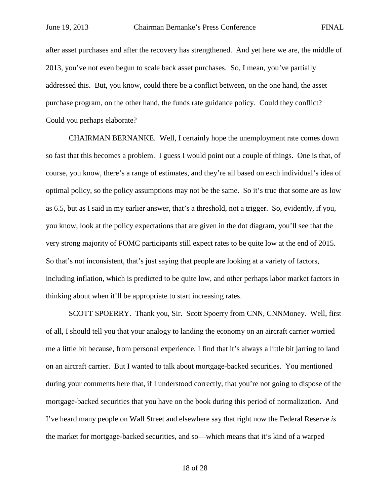after asset purchases and after the recovery has strengthened. And yet here we are, the middle of 2013, you've not even begun to scale back asset purchases. So, I mean, you've partially addressed this. But, you know, could there be a conflict between, on the one hand, the asset purchase program, on the other hand, the funds rate guidance policy. Could they conflict? Could you perhaps elaborate?

CHAIRMAN BERNANKE. Well, I certainly hope the unemployment rate comes down so fast that this becomes a problem. I guess I would point out a couple of things. One is that, of course, you know, there's a range of estimates, and they're all based on each individual's idea of optimal policy, so the policy assumptions may not be the same. So it's true that some are as low as 6.5, but as I said in my earlier answer, that's a threshold, not a trigger. So, evidently, if you, you know, look at the policy expectations that are given in the dot diagram, you'll see that the very strong majority of FOMC participants still expect rates to be quite low at the end of 2015. So that's not inconsistent, that's just saying that people are looking at a variety of factors, including inflation, which is predicted to be quite low, and other perhaps labor market factors in thinking about when it'll be appropriate to start increasing rates.

SCOTT SPOERRY. Thank you, Sir. Scott Spoerry from CNN, CNNMoney. Well, first of all, I should tell you that your analogy to landing the economy on an aircraft carrier worried me a little bit because, from personal experience, I find that it's always a little bit jarring to land on an aircraft carrier. But I wanted to talk about mortgage-backed securities. You mentioned during your comments here that, if I understood correctly, that you're not going to dispose of the mortgage-backed securities that you have on the book during this period of normalization. And I've heard many people on Wall Street and elsewhere say that right now the Federal Reserve *is* the market for mortgage-backed securities, and so—which means that it's kind of a warped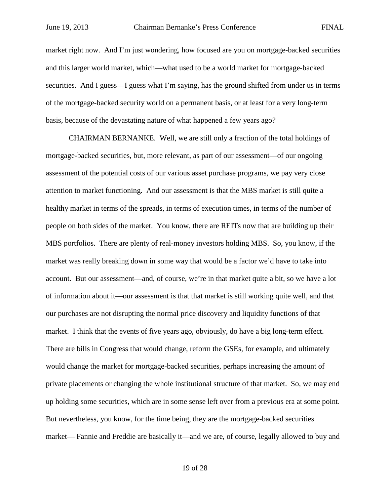market right now. And I'm just wondering, how focused are you on mortgage-backed securities and this larger world market, which—what used to be a world market for mortgage-backed securities. And I guess—I guess what I'm saying, has the ground shifted from under us in terms of the mortgage-backed security world on a permanent basis, or at least for a very long-term basis, because of the devastating nature of what happened a few years ago?

CHAIRMAN BERNANKE. Well, we are still only a fraction of the total holdings of mortgage-backed securities, but, more relevant, as part of our assessment—of our ongoing assessment of the potential costs of our various asset purchase programs, we pay very close attention to market functioning. And our assessment is that the MBS market is still quite a healthy market in terms of the spreads, in terms of execution times, in terms of the number of people on both sides of the market. You know, there are REITs now that are building up their MBS portfolios. There are plenty of real-money investors holding MBS. So, you know, if the market was really breaking down in some way that would be a factor we'd have to take into account. But our assessment—and, of course, we're in that market quite a bit, so we have a lot of information about it—our assessment is that that market is still working quite well, and that our purchases are not disrupting the normal price discovery and liquidity functions of that market. I think that the events of five years ago, obviously, do have a big long-term effect. There are bills in Congress that would change, reform the GSEs, for example, and ultimately would change the market for mortgage-backed securities, perhaps increasing the amount of private placements or changing the whole institutional structure of that market. So, we may end up holding some securities, which are in some sense left over from a previous era at some point. But nevertheless, you know, for the time being, they are the mortgage-backed securities market— Fannie and Freddie are basically it—and we are, of course, legally allowed to buy and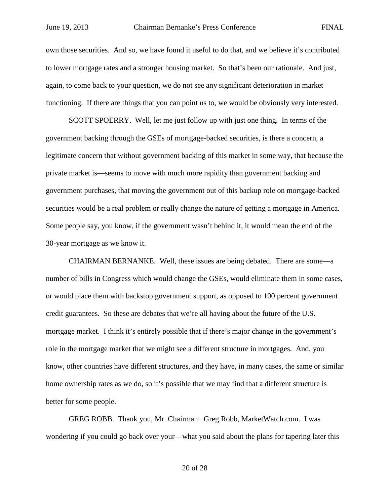own those securities. And so, we have found it useful to do that, and we believe it's contributed to lower mortgage rates and a stronger housing market. So that's been our rationale. And just, again, to come back to your question, we do not see any significant deterioration in market functioning. If there are things that you can point us to, we would be obviously very interested.

SCOTT SPOERRY. Well, let me just follow up with just one thing. In terms of the government backing through the GSEs of mortgage-backed securities, is there a concern, a legitimate concern that without government backing of this market in some way, that because the private market is—seems to move with much more rapidity than government backing and government purchases, that moving the government out of this backup role on mortgage-backed securities would be a real problem or really change the nature of getting a mortgage in America. Some people say, you know, if the government wasn't behind it, it would mean the end of the 30-year mortgage as we know it.

CHAIRMAN BERNANKE. Well, these issues are being debated. There are some—a number of bills in Congress which would change the GSEs, would eliminate them in some cases, or would place them with backstop government support, as opposed to 100 percent government credit guarantees. So these are debates that we're all having about the future of the U.S. mortgage market. I think it's entirely possible that if there's major change in the government's role in the mortgage market that we might see a different structure in mortgages. And, you know, other countries have different structures, and they have, in many cases, the same or similar home ownership rates as we do, so it's possible that we may find that a different structure is better for some people.

GREG ROBB. Thank you, Mr. Chairman. Greg Robb, MarketWatch.com. I was wondering if you could go back over your—what you said about the plans for tapering later this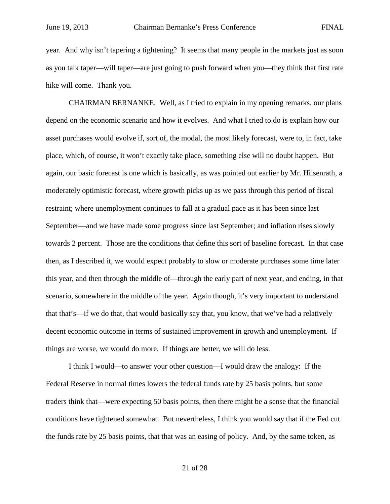year. And why isn't tapering a tightening? It seems that many people in the markets just as soon as you talk taper—will taper—are just going to push forward when you—they think that first rate hike will come. Thank you.

CHAIRMAN BERNANKE. Well, as I tried to explain in my opening remarks, our plans depend on the economic scenario and how it evolves. And what I tried to do is explain how our asset purchases would evolve if, sort of, the modal, the most likely forecast, were to, in fact, take place, which, of course, it won't exactly take place, something else will no doubt happen. But again, our basic forecast is one which is basically, as was pointed out earlier by Mr. Hilsenrath, a moderately optimistic forecast, where growth picks up as we pass through this period of fiscal restraint; where unemployment continues to fall at a gradual pace as it has been since last September—and we have made some progress since last September; and inflation rises slowly towards 2 percent. Those are the conditions that define this sort of baseline forecast. In that case then, as I described it, we would expect probably to slow or moderate purchases some time later this year, and then through the middle of—through the early part of next year, and ending, in that scenario, somewhere in the middle of the year. Again though, it's very important to understand that that's—if we do that, that would basically say that, you know, that we've had a relatively decent economic outcome in terms of sustained improvement in growth and unemployment. If things are worse, we would do more. If things are better, we will do less.

I think I would—to answer your other question—I would draw the analogy: If the Federal Reserve in normal times lowers the federal funds rate by 25 basis points, but some traders think that—were expecting 50 basis points, then there might be a sense that the financial conditions have tightened somewhat. But nevertheless, I think you would say that if the Fed cut the funds rate by 25 basis points, that that was an easing of policy. And, by the same token, as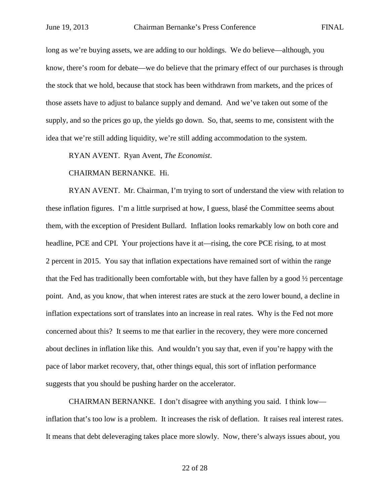long as we're buying assets, we are adding to our holdings. We do believe—although, you know, there's room for debate—we do believe that the primary effect of our purchases is through the stock that we hold, because that stock has been withdrawn from markets, and the prices of those assets have to adjust to balance supply and demand. And we've taken out some of the supply, and so the prices go up, the yields go down. So, that, seems to me, consistent with the idea that we're still adding liquidity, we're still adding accommodation to the system.

RYAN AVENT. Ryan Avent, *The Economist*.

CHAIRMAN BERNANKE. Hi.

RYAN AVENT. Mr. Chairman, I'm trying to sort of understand the view with relation to these inflation figures. I'm a little surprised at how, I guess, blasé the Committee seems about them, with the exception of President Bullard. Inflation looks remarkably low on both core and headline, PCE and CPI. Your projections have it at—rising, the core PCE rising, to at most 2 percent in 2015. You say that inflation expectations have remained sort of within the range that the Fed has traditionally been comfortable with, but they have fallen by a good  $\frac{1}{2}$  percentage point. And, as you know, that when interest rates are stuck at the zero lower bound, a decline in inflation expectations sort of translates into an increase in real rates. Why is the Fed not more concerned about this? It seems to me that earlier in the recovery, they were more concerned about declines in inflation like this. And wouldn't you say that, even if you're happy with the pace of labor market recovery, that, other things equal, this sort of inflation performance suggests that you should be pushing harder on the accelerator.

CHAIRMAN BERNANKE. I don't disagree with anything you said. I think low inflation that's too low is a problem. It increases the risk of deflation. It raises real interest rates. It means that debt deleveraging takes place more slowly. Now, there's always issues about, you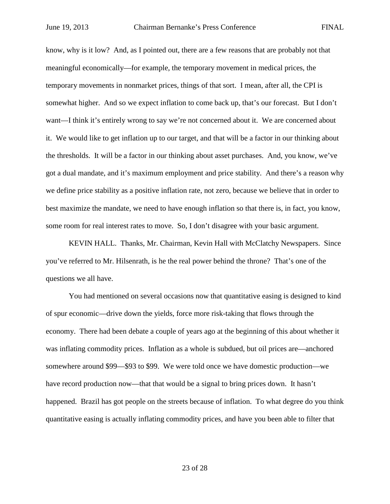know, why is it low? And, as I pointed out, there are a few reasons that are probably not that meaningful economically—for example, the temporary movement in medical prices, the temporary movements in nonmarket prices, things of that sort. I mean, after all, the CPI is somewhat higher. And so we expect inflation to come back up, that's our forecast. But I don't want—I think it's entirely wrong to say we're not concerned about it. We are concerned about it. We would like to get inflation up to our target, and that will be a factor in our thinking about the thresholds. It will be a factor in our thinking about asset purchases. And, you know, we've got a dual mandate, and it's maximum employment and price stability. And there's a reason why we define price stability as a positive inflation rate, not zero, because we believe that in order to best maximize the mandate, we need to have enough inflation so that there is, in fact, you know, some room for real interest rates to move. So, I don't disagree with your basic argument.

KEVIN HALL. Thanks, Mr. Chairman, Kevin Hall with McClatchy Newspapers. Since you've referred to Mr. Hilsenrath, is he the real power behind the throne? That's one of the questions we all have.

You had mentioned on several occasions now that quantitative easing is designed to kind of spur economic—drive down the yields, force more risk-taking that flows through the economy. There had been debate a couple of years ago at the beginning of this about whether it was inflating commodity prices. Inflation as a whole is subdued, but oil prices are—anchored somewhere around \$99—\$93 to \$99. We were told once we have domestic production—we have record production now—that that would be a signal to bring prices down. It hasn't happened. Brazil has got people on the streets because of inflation. To what degree do you think quantitative easing is actually inflating commodity prices, and have you been able to filter that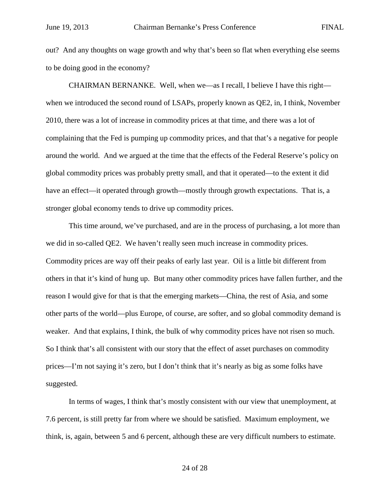out? And any thoughts on wage growth and why that's been so flat when everything else seems to be doing good in the economy?

CHAIRMAN BERNANKE. Well, when we—as I recall, I believe I have this right when we introduced the second round of LSAPs, properly known as QE2, in, I think, November 2010, there was a lot of increase in commodity prices at that time, and there was a lot of complaining that the Fed is pumping up commodity prices, and that that's a negative for people around the world. And we argued at the time that the effects of the Federal Reserve's policy on global commodity prices was probably pretty small, and that it operated—to the extent it did have an effect—it operated through growth—mostly through growth expectations. That is, a stronger global economy tends to drive up commodity prices.

This time around, we've purchased, and are in the process of purchasing, a lot more than we did in so-called QE2. We haven't really seen much increase in commodity prices. Commodity prices are way off their peaks of early last year. Oil is a little bit different from others in that it's kind of hung up. But many other commodity prices have fallen further, and the reason I would give for that is that the emerging markets—China, the rest of Asia, and some other parts of the world—plus Europe, of course, are softer, and so global commodity demand is weaker. And that explains, I think, the bulk of why commodity prices have not risen so much. So I think that's all consistent with our story that the effect of asset purchases on commodity prices—I'm not saying it's zero, but I don't think that it's nearly as big as some folks have suggested.

In terms of wages, I think that's mostly consistent with our view that unemployment, at 7.6 percent, is still pretty far from where we should be satisfied. Maximum employment, we think, is, again, between 5 and 6 percent, although these are very difficult numbers to estimate.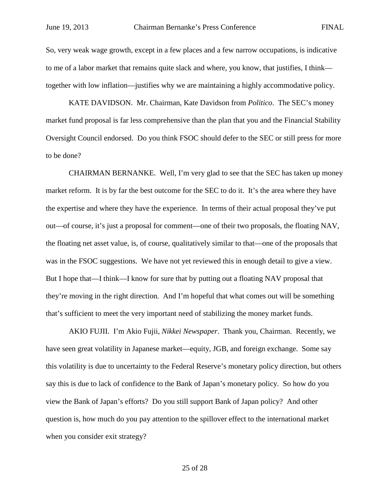So, very weak wage growth, except in a few places and a few narrow occupations, is indicative to me of a labor market that remains quite slack and where, you know, that justifies, I think together with low inflation—justifies why we are maintaining a highly accommodative policy.

KATE DAVIDSON. Mr. Chairman, Kate Davidson from *Politico*. The SEC's money market fund proposal is far less comprehensive than the plan that you and the Financial Stability Oversight Council endorsed. Do you think FSOC should defer to the SEC or still press for more to be done?

CHAIRMAN BERNANKE. Well, I'm very glad to see that the SEC has taken up money market reform. It is by far the best outcome for the SEC to do it. It's the area where they have the expertise and where they have the experience. In terms of their actual proposal they've put out—of course, it's just a proposal for comment—one of their two proposals, the floating NAV, the floating net asset value, is, of course, qualitatively similar to that—one of the proposals that was in the FSOC suggestions. We have not yet reviewed this in enough detail to give a view. But I hope that—I think—I know for sure that by putting out a floating NAV proposal that they're moving in the right direction. And I'm hopeful that what comes out will be something that's sufficient to meet the very important need of stabilizing the money market funds.

AKIO FUJII. I'm Akio Fujii, *Nikkei Newspaper*. Thank you, Chairman. Recently, we have seen great volatility in Japanese market—equity, JGB, and foreign exchange. Some say this volatility is due to uncertainty to the Federal Reserve's monetary policy direction, but others say this is due to lack of confidence to the Bank of Japan's monetary policy. So how do you view the Bank of Japan's efforts? Do you still support Bank of Japan policy? And other question is, how much do you pay attention to the spillover effect to the international market when you consider exit strategy?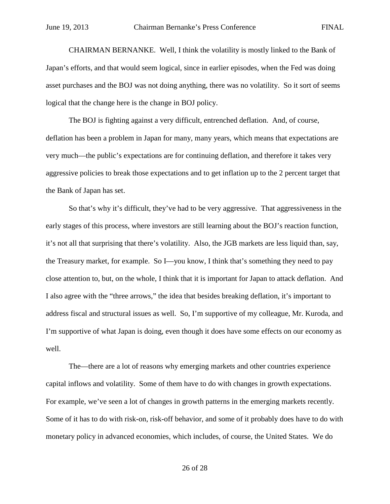CHAIRMAN BERNANKE. Well, I think the volatility is mostly linked to the Bank of Japan's efforts, and that would seem logical, since in earlier episodes, when the Fed was doing asset purchases and the BOJ was not doing anything, there was no volatility. So it sort of seems logical that the change here is the change in BOJ policy.

The BOJ is fighting against a very difficult, entrenched deflation. And, of course, deflation has been a problem in Japan for many, many years, which means that expectations are very much—the public's expectations are for continuing deflation, and therefore it takes very aggressive policies to break those expectations and to get inflation up to the 2 percent target that the Bank of Japan has set.

So that's why it's difficult, they've had to be very aggressive. That aggressiveness in the early stages of this process, where investors are still learning about the BOJ's reaction function, it's not all that surprising that there's volatility. Also, the JGB markets are less liquid than, say, the Treasury market, for example. So I—you know, I think that's something they need to pay close attention to, but, on the whole, I think that it is important for Japan to attack deflation. And I also agree with the "three arrows," the idea that besides breaking deflation, it's important to address fiscal and structural issues as well. So, I'm supportive of my colleague, Mr. Kuroda, and I'm supportive of what Japan is doing, even though it does have some effects on our economy as well.

The—there are a lot of reasons why emerging markets and other countries experience capital inflows and volatility. Some of them have to do with changes in growth expectations. For example, we've seen a lot of changes in growth patterns in the emerging markets recently. Some of it has to do with risk-on, risk-off behavior, and some of it probably does have to do with monetary policy in advanced economies, which includes, of course, the United States. We do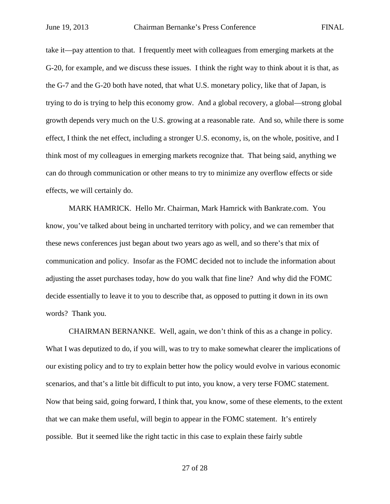take it—pay attention to that. I frequently meet with colleagues from emerging markets at the G-20, for example, and we discuss these issues. I think the right way to think about it is that, as the G-7 and the G-20 both have noted, that what U.S. monetary policy, like that of Japan, is trying to do is trying to help this economy grow. And a global recovery, a global—strong global growth depends very much on the U.S. growing at a reasonable rate. And so, while there is some effect, I think the net effect, including a stronger U.S. economy, is, on the whole, positive, and I think most of my colleagues in emerging markets recognize that. That being said, anything we can do through communication or other means to try to minimize any overflow effects or side effects, we will certainly do.

MARK HAMRICK. Hello Mr. Chairman, Mark Hamrick with Bankrate.com. You know, you've talked about being in uncharted territory with policy, and we can remember that these news conferences just began about two years ago as well, and so there's that mix of communication and policy. Insofar as the FOMC decided not to include the information about adjusting the asset purchases today, how do you walk that fine line? And why did the FOMC decide essentially to leave it to you to describe that, as opposed to putting it down in its own words? Thank you.

CHAIRMAN BERNANKE. Well, again, we don't think of this as a change in policy. What I was deputized to do, if you will, was to try to make somewhat clearer the implications of our existing policy and to try to explain better how the policy would evolve in various economic scenarios, and that's a little bit difficult to put into, you know, a very terse FOMC statement. Now that being said, going forward, I think that, you know, some of these elements, to the extent that we can make them useful, will begin to appear in the FOMC statement. It's entirely possible. But it seemed like the right tactic in this case to explain these fairly subtle